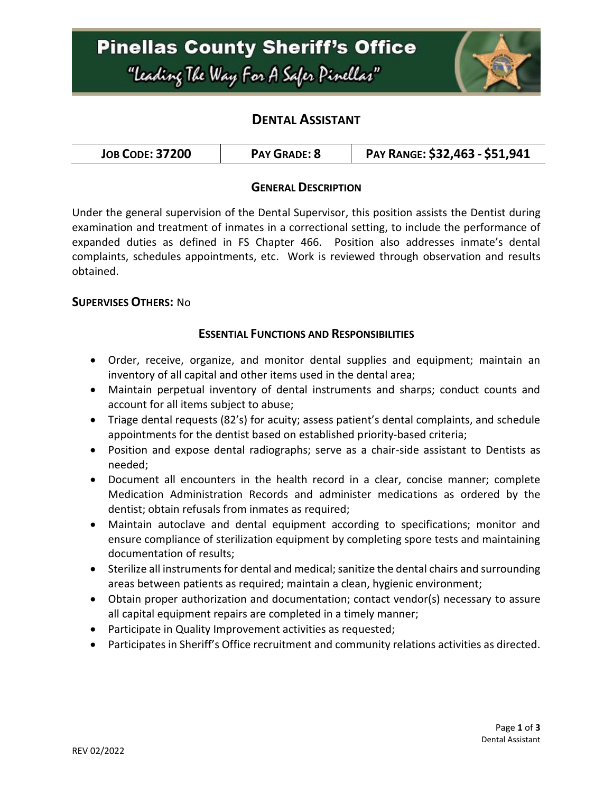

## **DENTAL ASSISTANT**

| <b>JOB CODE: 37200</b> | PAY GRADE: 8 | PAY RANGE: \$32,463 - \$51,941 |
|------------------------|--------------|--------------------------------|
|------------------------|--------------|--------------------------------|

### **GENERAL DESCRIPTION**

Under the general supervision of the Dental Supervisor, this position assists the Dentist during examination and treatment of inmates in a correctional setting, to include the performance of expanded duties as defined in FS Chapter 466. Position also addresses inmate's dental complaints, schedules appointments, etc. Work is reviewed through observation and results obtained.

#### **SUPERVISES OTHERS:** No

### **ESSENTIAL FUNCTIONS AND RESPONSIBILITIES**

- Order, receive, organize, and monitor dental supplies and equipment; maintain an inventory of all capital and other items used in the dental area;
- Maintain perpetual inventory of dental instruments and sharps; conduct counts and account for all items subject to abuse;
- Triage dental requests (82's) for acuity; assess patient's dental complaints, and schedule appointments for the dentist based on established priority-based criteria;
- Position and expose dental radiographs; serve as a chair-side assistant to Dentists as needed;
- Document all encounters in the health record in a clear, concise manner; complete Medication Administration Records and administer medications as ordered by the dentist; obtain refusals from inmates as required;
- Maintain autoclave and dental equipment according to specifications; monitor and ensure compliance of sterilization equipment by completing spore tests and maintaining documentation of results;
- Sterilize all instruments for dental and medical; sanitize the dental chairs and surrounding areas between patients as required; maintain a clean, hygienic environment;
- Obtain proper authorization and documentation; contact vendor(s) necessary to assure all capital equipment repairs are completed in a timely manner;
- Participate in Quality Improvement activities as requested;
- Participates in Sheriff's Office recruitment and community relations activities as directed.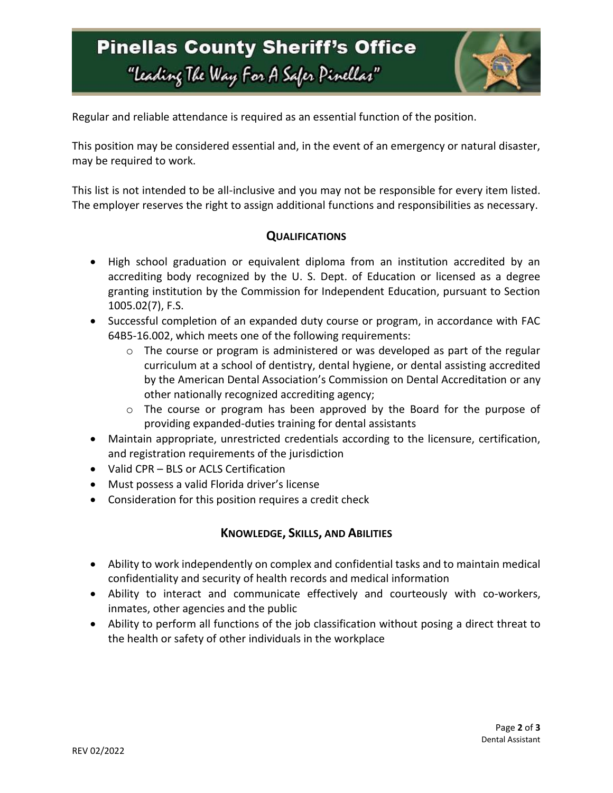# **Pinellas County Sheriff's Office** "Leading The Way For A Safer Pinellar"



Regular and reliable attendance is required as an essential function of the position.

This position may be considered essential and, in the event of an emergency or natural disaster, may be required to work.

This list is not intended to be all-inclusive and you may not be responsible for every item listed. The employer reserves the right to assign additional functions and responsibilities as necessary.

### **QUALIFICATIONS**

- High school graduation or equivalent diploma from an institution accredited by an accrediting body recognized by the U. S. Dept. of Education or licensed as a degree granting institution by the Commission for Independent Education, pursuant to Section 1005.02(7), F.S.
- Successful completion of an expanded duty course or program, in accordance with FAC 64B5-16.002, which meets one of the following requirements:
	- $\circ$  The course or program is administered or was developed as part of the regular curriculum at a school of dentistry, dental hygiene, or dental assisting accredited by the American Dental Association's Commission on Dental Accreditation or any other nationally recognized accrediting agency;
	- o The course or program has been approved by the Board for the purpose of providing expanded-duties training for dental assistants
- Maintain appropriate, unrestricted credentials according to the licensure, certification, and registration requirements of the jurisdiction
- Valid CPR BLS or ACLS Certification
- Must possess a valid Florida driver's license
- Consideration for this position requires a credit check

### **KNOWLEDGE, SKILLS, AND ABILITIES**

- Ability to work independently on complex and confidential tasks and to maintain medical confidentiality and security of health records and medical information
- Ability to interact and communicate effectively and courteously with co-workers, inmates, other agencies and the public
- Ability to perform all functions of the job classification without posing a direct threat to the health or safety of other individuals in the workplace